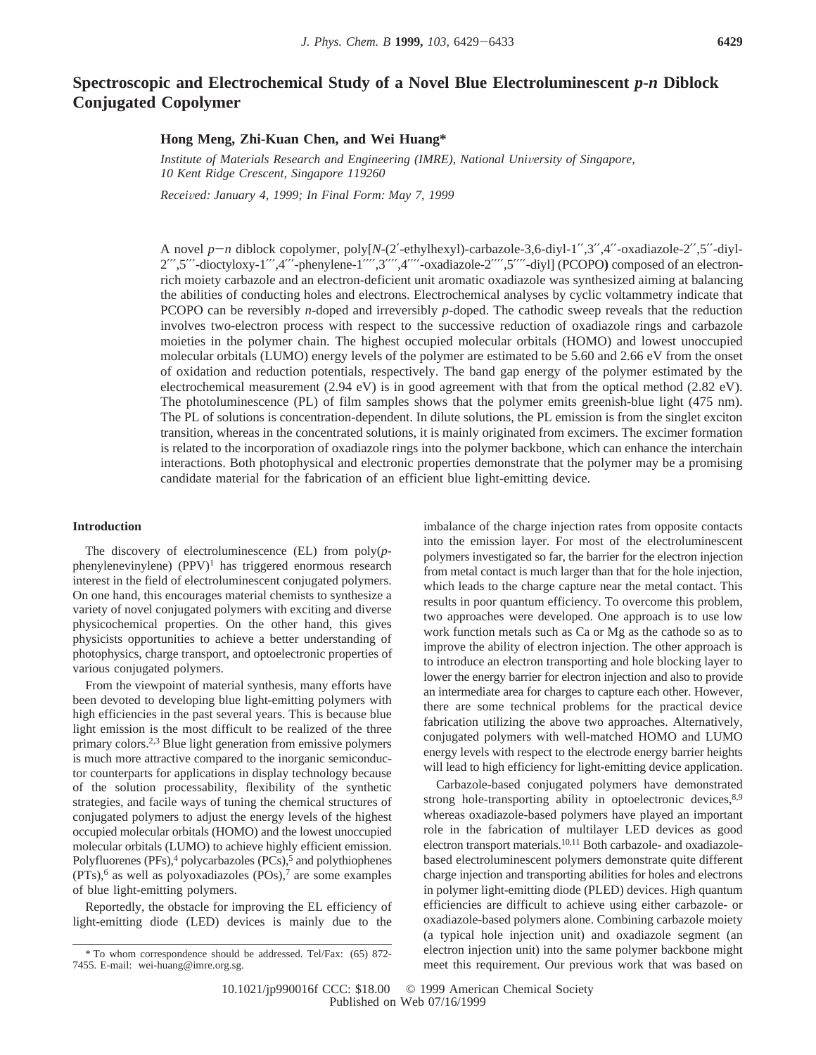# **Spectroscopic and Electrochemical Study of a Novel Blue Electroluminescent** *p***-***n* **Diblock Conjugated Copolymer**

## **Hong Meng, Zhi-Kuan Chen, and Wei Huang\***

*Institute of Materials Research and Engineering (IMRE), National University of Singapore, 10 Kent Ridge Crescent, Singapore 119260*

*Recei*V*ed: January 4, 1999; In Final Form: May 7, 1999*

A novel *<sup>p</sup>*-*<sup>n</sup>* diblock copolymer, poly[*N*-(2′-ethylhexyl)-carbazole-3,6-diyl-1′′,3′′,4′′-oxadiazole-2′′,5′′-diyl-2′′′,5′′′-dioctyloxy-1′′′,4′′′-phenylene-1′′′′,3′′′′,4′′′′-oxadiazole-2′′′′,5′′′′-diyl] (PCOPO**)** composed of an electronrich moiety carbazole and an electron-deficient unit aromatic oxadiazole was synthesized aiming at balancing the abilities of conducting holes and electrons. Electrochemical analyses by cyclic voltammetry indicate that PCOPO can be reversibly *n*-doped and irreversibly *p*-doped. The cathodic sweep reveals that the reduction involves two-electron process with respect to the successive reduction of oxadiazole rings and carbazole moieties in the polymer chain. The highest occupied molecular orbitals (HOMO) and lowest unoccupied molecular orbitals (LUMO) energy levels of the polymer are estimated to be 5.60 and 2.66 eV from the onset of oxidation and reduction potentials, respectively. The band gap energy of the polymer estimated by the electrochemical measurement (2.94 eV) is in good agreement with that from the optical method (2.82 eV). The photoluminescence (PL) of film samples shows that the polymer emits greenish-blue light (475 nm). The PL of solutions is concentration-dependent. In dilute solutions, the PL emission is from the singlet exciton transition, whereas in the concentrated solutions, it is mainly originated from excimers. The excimer formation is related to the incorporation of oxadiazole rings into the polymer backbone, which can enhance the interchain interactions. Both photophysical and electronic properties demonstrate that the polymer may be a promising candidate material for the fabrication of an efficient blue light-emitting device.

## **Introduction**

The discovery of electroluminescence (EL) from poly(*p*phenylenevinylene)  $(PPV)^1$  has triggered enormous research interest in the field of electroluminescent conjugated polymers. On one hand, this encourages material chemists to synthesize a variety of novel conjugated polymers with exciting and diverse physicochemical properties. On the other hand, this gives physicists opportunities to achieve a better understanding of photophysics, charge transport, and optoelectronic properties of various conjugated polymers.

From the viewpoint of material synthesis, many efforts have been devoted to developing blue light-emitting polymers with high efficiencies in the past several years. This is because blue light emission is the most difficult to be realized of the three primary colors.2,3 Blue light generation from emissive polymers is much more attractive compared to the inorganic semiconductor counterparts for applications in display technology because of the solution processability, flexibility of the synthetic strategies, and facile ways of tuning the chemical structures of conjugated polymers to adjust the energy levels of the highest occupied molecular orbitals (HOMO) and the lowest unoccupied molecular orbitals (LUMO) to achieve highly efficient emission. Polyfluorenes (PFs),<sup>4</sup> polycarbazoles (PCs),<sup>5</sup> and polythiophenes  $(PTs)$ ,<sup>6</sup> as well as polyoxadiazoles  $(POs)$ ,<sup>7</sup> are some examples of blue light-emitting polymers.

Reportedly, the obstacle for improving the EL efficiency of light-emitting diode (LED) devices is mainly due to the

imbalance of the charge injection rates from opposite contacts into the emission layer. For most of the electroluminescent polymers investigated so far, the barrier for the electron injection from metal contact is much larger than that for the hole injection, which leads to the charge capture near the metal contact. This results in poor quantum efficiency. To overcome this problem, two approaches were developed. One approach is to use low work function metals such as Ca or Mg as the cathode so as to improve the ability of electron injection. The other approach is to introduce an electron transporting and hole blocking layer to lower the energy barrier for electron injection and also to provide an intermediate area for charges to capture each other. However, there are some technical problems for the practical device fabrication utilizing the above two approaches. Alternatively, conjugated polymers with well-matched HOMO and LUMO energy levels with respect to the electrode energy barrier heights will lead to high efficiency for light-emitting device application.

Carbazole-based conjugated polymers have demonstrated strong hole-transporting ability in optoelectronic devices,<sup>8,9</sup> whereas oxadiazole-based polymers have played an important role in the fabrication of multilayer LED devices as good electron transport materials.10,11 Both carbazole- and oxadiazolebased electroluminescent polymers demonstrate quite different charge injection and transporting abilities for holes and electrons in polymer light-emitting diode (PLED) devices. High quantum efficiencies are difficult to achieve using either carbazole- or oxadiazole-based polymers alone. Combining carbazole moiety (a typical hole injection unit) and oxadiazole segment (an electron injection unit) into the same polymer backbone might meet this requirement. Our previous work that was based on

<sup>\*</sup> To whom correspondence should be addressed. Tel/Fax: (65) 872- 7455. E-mail: wei-huang@imre.org.sg.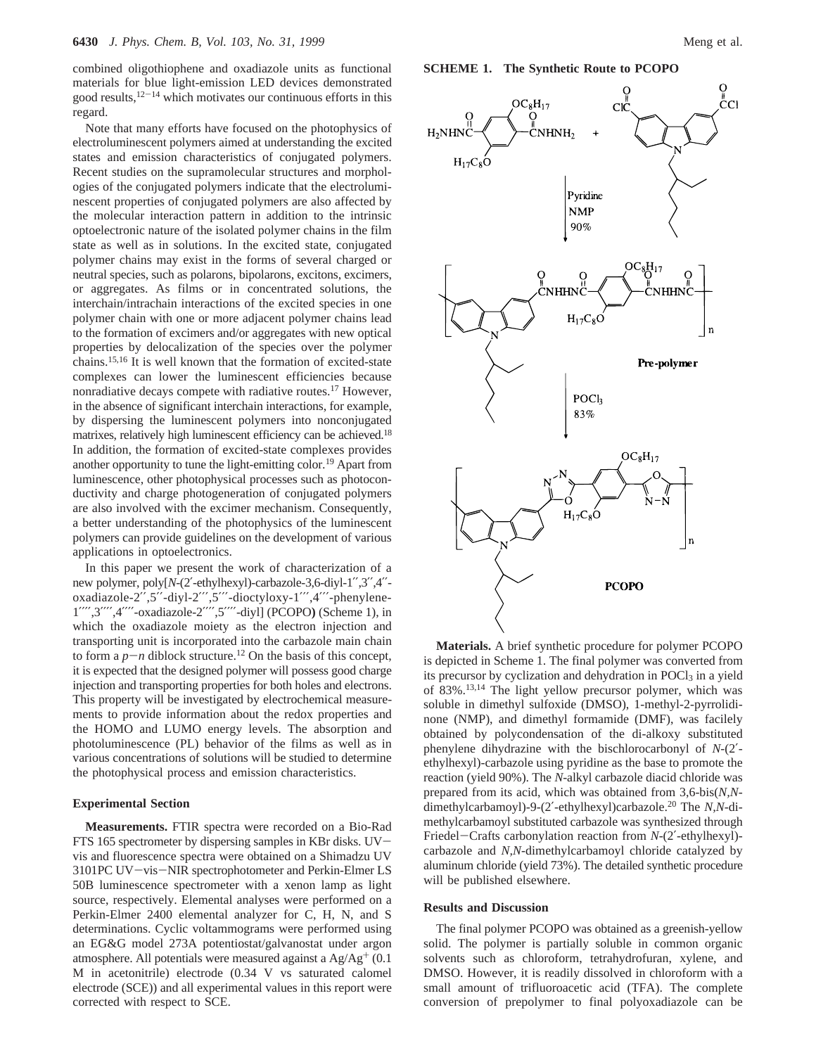combined oligothiophene and oxadiazole units as functional materials for blue light-emission LED devices demonstrated good results,12-<sup>14</sup> which motivates our continuous efforts in this regard.

Note that many efforts have focused on the photophysics of electroluminescent polymers aimed at understanding the excited states and emission characteristics of conjugated polymers. Recent studies on the supramolecular structures and morphologies of the conjugated polymers indicate that the electroluminescent properties of conjugated polymers are also affected by the molecular interaction pattern in addition to the intrinsic optoelectronic nature of the isolated polymer chains in the film state as well as in solutions. In the excited state, conjugated polymer chains may exist in the forms of several charged or neutral species, such as polarons, bipolarons, excitons, excimers, or aggregates. As films or in concentrated solutions, the interchain/intrachain interactions of the excited species in one polymer chain with one or more adjacent polymer chains lead to the formation of excimers and/or aggregates with new optical properties by delocalization of the species over the polymer chains.15,16 It is well known that the formation of excited-state complexes can lower the luminescent efficiencies because nonradiative decays compete with radiative routes.17 However, in the absence of significant interchain interactions, for example, by dispersing the luminescent polymers into nonconjugated matrixes, relatively high luminescent efficiency can be achieved.<sup>18</sup> In addition, the formation of excited-state complexes provides another opportunity to tune the light-emitting color.<sup>19</sup> Apart from luminescence, other photophysical processes such as photoconductivity and charge photogeneration of conjugated polymers are also involved with the excimer mechanism. Consequently, a better understanding of the photophysics of the luminescent polymers can provide guidelines on the development of various applications in optoelectronics.

In this paper we present the work of characterization of a new polymer, poly[*N*-(2′-ethylhexyl)-carbazole-3,6-diyl-1′′,3′′,4′′ oxadiazole-2′′,5′′-diyl-2′′′,5′′′-dioctyloxy-1′′′,4′′′-phenylene-1′′′′,3′′′′,4′′′′-oxadiazole-2′′′′,5′′′′-diyl] (PCOPO**)** (Scheme 1), in which the oxadiazole moiety as the electron injection and transporting unit is incorporated into the carbazole main chain to form a  $p - n$  diblock structure.<sup>12</sup> On the basis of this concept, it is expected that the designed polymer will possess good charge injection and transporting properties for both holes and electrons. This property will be investigated by electrochemical measurements to provide information about the redox properties and the HOMO and LUMO energy levels. The absorption and photoluminescence (PL) behavior of the films as well as in various concentrations of solutions will be studied to determine the photophysical process and emission characteristics.

#### **Experimental Section**

**Measurements.** FTIR spectra were recorded on a Bio-Rad FTS 165 spectrometer by dispersing samples in KBr disks. UVvis and fluorescence spectra were obtained on a Shimadzu UV 3101PC UV-vis-NIR spectrophotometer and Perkin-Elmer LS 50B luminescence spectrometer with a xenon lamp as light source, respectively. Elemental analyses were performed on a Perkin-Elmer 2400 elemental analyzer for C, H, N, and S determinations. Cyclic voltammograms were performed using an EG&G model 273A potentiostat/galvanostat under argon atmosphere. All potentials were measured against a  $Ag/Ag^{+}$  (0.1) M in acetonitrile) electrode (0.34 V vs saturated calomel electrode (SCE)) and all experimental values in this report were corrected with respect to SCE.





**Materials.** A brief synthetic procedure for polymer PCOPO is depicted in Scheme 1. The final polymer was converted from its precursor by cyclization and dehydration in POCl<sub>3</sub> in a yield of 83%.13,14 The light yellow precursor polymer, which was soluble in dimethyl sulfoxide (DMSO), 1-methyl-2-pyrrolidinone (NMP), and dimethyl formamide (DMF), was facilely obtained by polycondensation of the di-alkoxy substituted phenylene dihydrazine with the bischlorocarbonyl of *N*-(2′ ethylhexyl)-carbazole using pyridine as the base to promote the reaction (yield 90%). The *N*-alkyl carbazole diacid chloride was prepared from its acid, which was obtained from 3,6-bis(*N,N*dimethylcarbamoyl)-9-(2′-ethylhexyl)carbazole.20 The *N,N*-dimethylcarbamoyl substituted carbazole was synthesized through Friedel-Crafts carbonylation reaction from *<sup>N</sup>*-(2′-ethylhexyl) carbazole and *N,N-*dimethylcarbamoyl chloride catalyzed by aluminum chloride (yield 73%). The detailed synthetic procedure will be published elsewhere.

## **Results and Discussion**

The final polymer PCOPO was obtained as a greenish-yellow solid. The polymer is partially soluble in common organic solvents such as chloroform, tetrahydrofuran, xylene, and DMSO. However, it is readily dissolved in chloroform with a small amount of trifluoroacetic acid (TFA). The complete conversion of prepolymer to final polyoxadiazole can be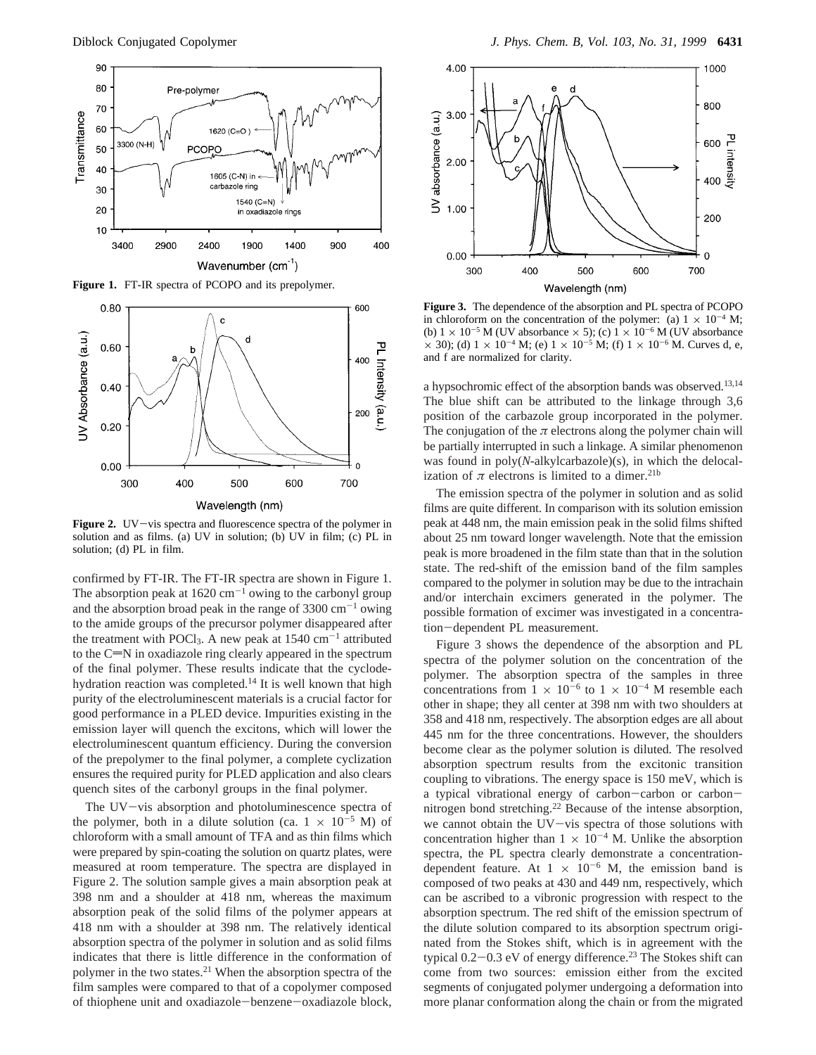

**Figure 1.** FT-IR spectra of PCOPO and its prepolymer.



**Figure 2.** UV-vis spectra and fluorescence spectra of the polymer in solution and as films. (a) UV in solution; (b) UV in film; (c) PL in solution; (d) PL in film.

confirmed by FT-IR. The FT-IR spectra are shown in Figure 1. The absorption peak at  $1620 \text{ cm}^{-1}$  owing to the carbonyl group and the absorption broad peak in the range of  $3300 \text{ cm}^{-1}$  owing to the amide groups of the precursor polymer disappeared after the treatment with POCl<sub>3</sub>. A new peak at  $1540 \text{ cm}^{-1}$  attributed to the  $C=N$  in oxadiazole ring clearly appeared in the spectrum of the final polymer. These results indicate that the cyclodehydration reaction was completed.14 It is well known that high purity of the electroluminescent materials is a crucial factor for good performance in a PLED device. Impurities existing in the emission layer will quench the excitons, which will lower the electroluminescent quantum efficiency. During the conversion of the prepolymer to the final polymer, a complete cyclization ensures the required purity for PLED application and also clears quench sites of the carbonyl groups in the final polymer.

The UV-vis absorption and photoluminescence spectra of the polymer, both in a dilute solution (ca.  $1 \times 10^{-5}$  M) of chloroform with a small amount of TFA and as thin films which were prepared by spin-coating the solution on quartz plates, were measured at room temperature. The spectra are displayed in Figure 2. The solution sample gives a main absorption peak at 398 nm and a shoulder at 418 nm, whereas the maximum absorption peak of the solid films of the polymer appears at 418 nm with a shoulder at 398 nm. The relatively identical absorption spectra of the polymer in solution and as solid films indicates that there is little difference in the conformation of polymer in the two states.21 When the absorption spectra of the film samples were compared to that of a copolymer composed of thiophene unit and oxadiazole-benzene-oxadiazole block,



**Figure 3.** The dependence of the absorption and PL spectra of PCOPO in chloroform on the concentration of the polymer: (a)  $1 \times 10^{-4}$  M; (b)  $1 \times 10^{-5}$  M (UV absorbance  $\times$  5); (c)  $1 \times 10^{-6}$  M (UV absorbance  $\times$  30); (d) 1  $\times$  10<sup>-4</sup> M; (e) 1  $\times$  10<sup>-5</sup> M; (f) 1  $\times$  10<sup>-6</sup> M. Curves d, e, and f are normalized for clarity.

a hypsochromic effect of the absorption bands was observed.13,14 The blue shift can be attributed to the linkage through 3,6 position of the carbazole group incorporated in the polymer. The conjugation of the  $\pi$  electrons along the polymer chain will be partially interrupted in such a linkage. A similar phenomenon was found in poly(*N*-alkylcarbazole)(s), in which the delocalization of  $\pi$  electrons is limited to a dimer.<sup>21b</sup>

The emission spectra of the polymer in solution and as solid films are quite different. In comparison with its solution emission peak at 448 nm, the main emission peak in the solid films shifted about 25 nm toward longer wavelength. Note that the emission peak is more broadened in the film state than that in the solution state. The red-shift of the emission band of the film samples compared to the polymer in solution may be due to the intrachain and/or interchain excimers generated in the polymer. The possible formation of excimer was investigated in a concentration-dependent PL measurement.

Figure 3 shows the dependence of the absorption and PL spectra of the polymer solution on the concentration of the polymer. The absorption spectra of the samples in three concentrations from  $1 \times 10^{-6}$  to  $1 \times 10^{-4}$  M resemble each other in shape; they all center at 398 nm with two shoulders at 358 and 418 nm, respectively. The absorption edges are all about 445 nm for the three concentrations. However, the shoulders become clear as the polymer solution is diluted. The resolved absorption spectrum results from the excitonic transition coupling to vibrations. The energy space is 150 meV, which is a typical vibrational energy of carbon-carbon or carbonnitrogen bond stretching.22 Because of the intense absorption, we cannot obtain the UV-vis spectra of those solutions with concentration higher than  $1 \times 10^{-4}$  M. Unlike the absorption spectra, the PL spectra clearly demonstrate a concentrationdependent feature. At  $1 \times 10^{-6}$  M, the emission band is composed of two peaks at 430 and 449 nm, respectively, which can be ascribed to a vibronic progression with respect to the absorption spectrum. The red shift of the emission spectrum of the dilute solution compared to its absorption spectrum originated from the Stokes shift, which is in agreement with the typical  $0.2-0.3$  eV of energy difference.<sup>23</sup> The Stokes shift can come from two sources: emission either from the excited segments of conjugated polymer undergoing a deformation into more planar conformation along the chain or from the migrated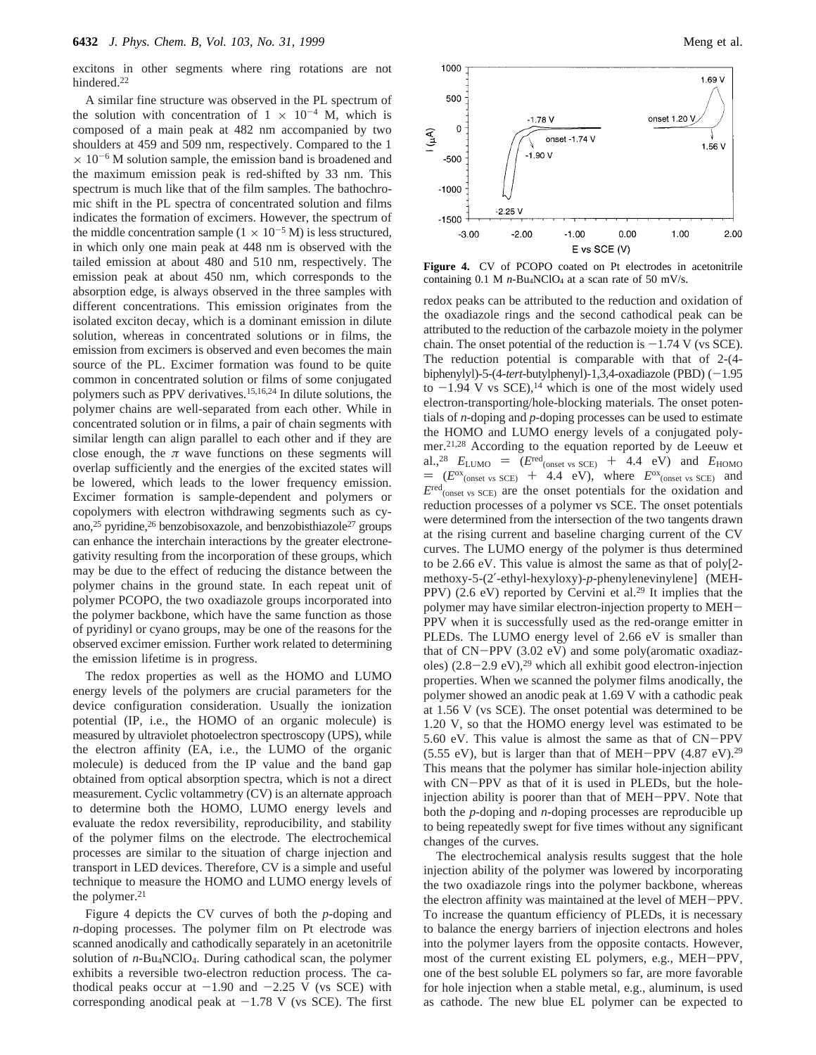excitons in other segments where ring rotations are not hindered.<sup>22</sup>

A similar fine structure was observed in the PL spectrum of the solution with concentration of  $1 \times 10^{-4}$  M, which is composed of a main peak at 482 nm accompanied by two shoulders at 459 and 509 nm, respectively. Compared to the 1  $\times$  10<sup>-6</sup> M solution sample, the emission band is broadened and the maximum emission peak is red-shifted by 33 nm. This spectrum is much like that of the film samples. The bathochromic shift in the PL spectra of concentrated solution and films indicates the formation of excimers. However, the spectrum of the middle concentration sample  $(1 \times 10^{-5} \text{ M})$  is less structured, in which only one main peak at 448 nm is observed with the tailed emission at about 480 and 510 nm, respectively. The emission peak at about 450 nm, which corresponds to the absorption edge, is always observed in the three samples with different concentrations. This emission originates from the isolated exciton decay, which is a dominant emission in dilute solution, whereas in concentrated solutions or in films, the emission from excimers is observed and even becomes the main source of the PL. Excimer formation was found to be quite common in concentrated solution or films of some conjugated polymers such as PPV derivatives.15,16,24 In dilute solutions, the polymer chains are well-separated from each other. While in concentrated solution or in films, a pair of chain segments with similar length can align parallel to each other and if they are close enough, the  $\pi$  wave functions on these segments will overlap sufficiently and the energies of the excited states will be lowered, which leads to the lower frequency emission. Excimer formation is sample-dependent and polymers or copolymers with electron withdrawing segments such as cyano,<sup>25</sup> pyridine,<sup>26</sup> benzobisoxazole, and benzobisthiazole<sup>27</sup> groups can enhance the interchain interactions by the greater electronegativity resulting from the incorporation of these groups, which may be due to the effect of reducing the distance between the polymer chains in the ground state. In each repeat unit of polymer PCOPO, the two oxadiazole groups incorporated into the polymer backbone, which have the same function as those of pyridinyl or cyano groups, may be one of the reasons for the observed excimer emission. Further work related to determining the emission lifetime is in progress.

The redox properties as well as the HOMO and LUMO energy levels of the polymers are crucial parameters for the device configuration consideration. Usually the ionization potential (IP, i.e., the HOMO of an organic molecule) is measured by ultraviolet photoelectron spectroscopy (UPS), while the electron affinity (EA, i.e., the LUMO of the organic molecule) is deduced from the IP value and the band gap obtained from optical absorption spectra, which is not a direct measurement. Cyclic voltammetry (CV) is an alternate approach to determine both the HOMO, LUMO energy levels and evaluate the redox reversibility, reproducibility, and stability of the polymer films on the electrode. The electrochemical processes are similar to the situation of charge injection and transport in LED devices. Therefore, CV is a simple and useful technique to measure the HOMO and LUMO energy levels of the polymer. $21$ 

Figure 4 depicts the CV curves of both the *p*-doping and *n*-doping processes. The polymer film on Pt electrode was scanned anodically and cathodically separately in an acetonitrile solution of *n*-Bu<sub>4</sub>NClO<sub>4</sub>. During cathodical scan, the polymer exhibits a reversible two-electron reduction process. The cathodical peaks occur at  $-1.90$  and  $-2.25$  V (vs SCE) with corresponding anodical peak at  $-1.78$  V (vs SCE). The first



**Figure 4.** CV of PCOPO coated on Pt electrodes in acetonitrile containing  $0.1$  M  $n$ -Bu<sub>4</sub>NClO<sub>4</sub> at a scan rate of 50 mV/s.

redox peaks can be attributed to the reduction and oxidation of the oxadiazole rings and the second cathodical peak can be attributed to the reduction of the carbazole moiety in the polymer chain. The onset potential of the reduction is  $-1.74$  V (vs SCE). The reduction potential is comparable with that of 2-(4 biphenylyl)-5-(4-tert-butylphenyl)-1,3,4-oxadiazole (PBD) (-1.95 to  $-1.94$  V vs SCE),<sup>14</sup> which is one of the most widely used electron-transporting/hole-blocking materials. The onset potentials of *n*-doping and *p*-doping processes can be used to estimate the HOMO and LUMO energy levels of a conjugated polymer.21,28 According to the equation reported by de Leeuw et al.,<sup>28</sup>  $E_{\text{LUMO}} = (E^{\text{red}}_{\text{(onset vs SCE)}} + 4.4 \text{ eV})$  and  $E_{\text{HOMO}}$  $= (E^{ox}$ <sub>(onset vs SCE)</sub> + 4.4 eV), where  $E^{ox}$ <sub>(onset vs SCE)</sub> and  $E^{\text{red}}$ <sub>(onset vs SCE)</sub> are the onset potentials for the oxidation and reduction processes of a polymer vs SCE. The onset potentials were determined from the intersection of the two tangents drawn at the rising current and baseline charging current of the CV curves. The LUMO energy of the polymer is thus determined to be 2.66 eV. This value is almost the same as that of poly[2 methoxy-5-(2′-ethyl-hexyloxy)-*p*-phenylenevinylene] (MEH-PPV) (2.6 eV) reported by Cervini et al.<sup>29</sup> It implies that the polymer may have similar electron-injection property to MEH-PPV when it is successfully used as the red-orange emitter in PLEDs. The LUMO energy level of 2.66 eV is smaller than that of CN-PPV (3.02 eV) and some poly(aromatic oxadiazoles)  $(2.8-2.9 \text{ eV})$ ,<sup>29</sup> which all exhibit good electron-injection properties. When we scanned the polymer films anodically, the polymer showed an anodic peak at 1.69 V with a cathodic peak at 1.56 V (vs SCE). The onset potential was determined to be 1.20 V, so that the HOMO energy level was estimated to be 5.60 eV. This value is almost the same as that of CN-PPV (5.55 eV), but is larger than that of MEH-PPV  $(4.87 \text{ eV})$ .<sup>29</sup> This means that the polymer has similar hole-injection ability with CN-PPV as that of it is used in PLEDs, but the holeinjection ability is poorer than that of MEH-PPV. Note that both the *p*-doping and *n-*doping processes are reproducible up to being repeatedly swept for five times without any significant changes of the curves.

The electrochemical analysis results suggest that the hole injection ability of the polymer was lowered by incorporating the two oxadiazole rings into the polymer backbone, whereas the electron affinity was maintained at the level of MEH-PPV. To increase the quantum efficiency of PLEDs, it is necessary to balance the energy barriers of injection electrons and holes into the polymer layers from the opposite contacts. However, most of the current existing EL polymers, e.g., MEH-PPV, one of the best soluble EL polymers so far, are more favorable for hole injection when a stable metal, e.g., aluminum, is used as cathode. The new blue EL polymer can be expected to